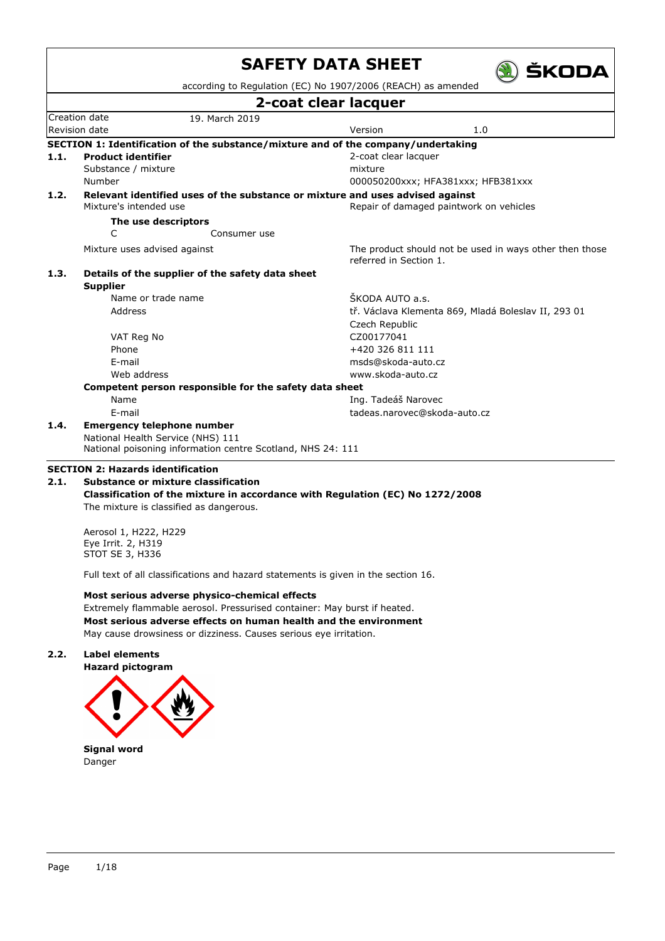|      |                                                                                                  | according to Regulation (EC) No 1907/2006 (REACH) as amended                      |  |  |  |  |
|------|--------------------------------------------------------------------------------------------------|-----------------------------------------------------------------------------------|--|--|--|--|
|      |                                                                                                  | 2-coat clear lacquer                                                              |  |  |  |  |
|      | Creation date<br>19. March 2019                                                                  |                                                                                   |  |  |  |  |
|      | Revision date                                                                                    | Version<br>1.0                                                                    |  |  |  |  |
|      |                                                                                                  | SECTION 1: Identification of the substance/mixture and of the company/undertaking |  |  |  |  |
| 1.1. | <b>Product identifier</b>                                                                        | 2-coat clear lacquer                                                              |  |  |  |  |
|      | Substance / mixture                                                                              | mixture                                                                           |  |  |  |  |
|      | Number                                                                                           | 000050200xxx; HFA381xxx; HFB381xxx                                                |  |  |  |  |
| 1.2. |                                                                                                  | Relevant identified uses of the substance or mixture and uses advised against     |  |  |  |  |
|      | Mixture's intended use                                                                           | Repair of damaged paintwork on vehicles                                           |  |  |  |  |
|      | The use descriptors                                                                              |                                                                                   |  |  |  |  |
|      | C<br>Consumer use                                                                                |                                                                                   |  |  |  |  |
|      | Mixture uses advised against                                                                     | The product should not be used in ways other then those<br>referred in Section 1. |  |  |  |  |
| 1.3. | Details of the supplier of the safety data sheet                                                 |                                                                                   |  |  |  |  |
|      | <b>Supplier</b>                                                                                  |                                                                                   |  |  |  |  |
|      | Name or trade name                                                                               | ŠKODA AUTO a.s.                                                                   |  |  |  |  |
|      | Address                                                                                          | tř. Václava Klementa 869, Mladá Boleslav II, 293 01                               |  |  |  |  |
|      |                                                                                                  | Czech Republic                                                                    |  |  |  |  |
|      | VAT Reg No                                                                                       | CZ00177041                                                                        |  |  |  |  |
|      | Phone                                                                                            | +420 326 811 111                                                                  |  |  |  |  |
|      | E-mail                                                                                           | msds@skoda-auto.cz                                                                |  |  |  |  |
|      | Web address                                                                                      | www.skoda-auto.cz                                                                 |  |  |  |  |
|      | Competent person responsible for the safety data sheet                                           |                                                                                   |  |  |  |  |
|      | Name                                                                                             | Ing. Tadeáš Narovec                                                               |  |  |  |  |
|      | E-mail                                                                                           | tadeas.narovec@skoda-auto.cz                                                      |  |  |  |  |
| 1.4. | <b>Emergency telephone number</b>                                                                |                                                                                   |  |  |  |  |
|      | National Health Service (NHS) 111<br>National poisoning information centre Scotland, NHS 24: 111 |                                                                                   |  |  |  |  |
|      | <b>SECTION 2: Hazards identification</b>                                                         |                                                                                   |  |  |  |  |
|      |                                                                                                  |                                                                                   |  |  |  |  |

Aerosol 1, H222, H229 Eye Irrit. 2, H319 STOT SE 3, H336

Full text of all classifications and hazard statements is given in the section 16.

**Most serious adverse physico-chemical effects** Extremely flammable aerosol. Pressurised container: May burst if heated. **Most serious adverse effects on human health and the environment** May cause drowsiness or dizziness. Causes serious eye irritation.

### **2.2. Label elements**

**Hazard pictogram**



Danger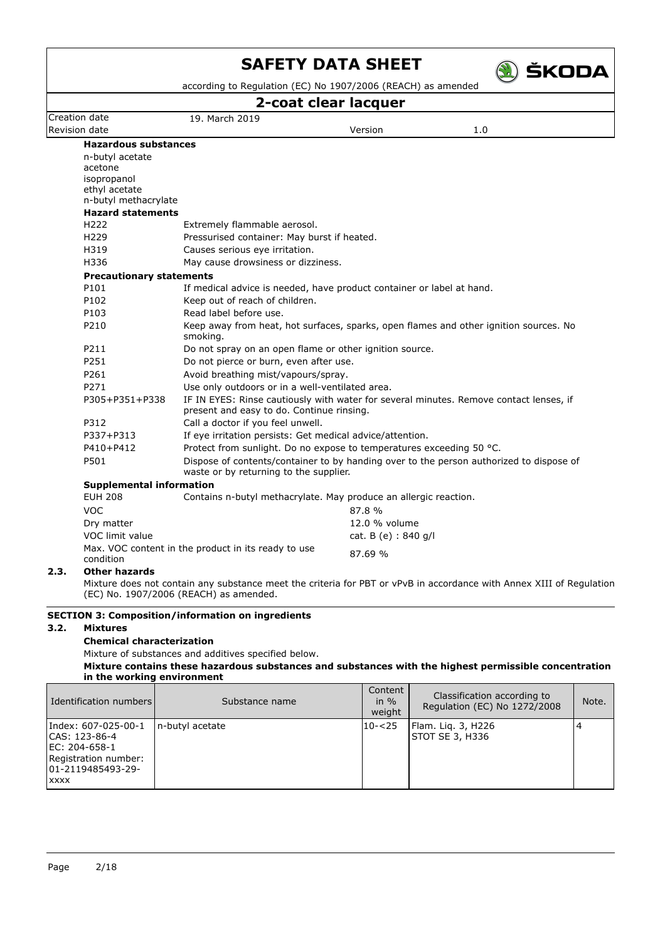

according to Regulation (EC) No 1907/2006 (REACH) as amended

### **2-coat clear lacquer**

|                                         |                                                                       | z-cuat cical lacyuci |                                                                                         |  |
|-----------------------------------------|-----------------------------------------------------------------------|----------------------|-----------------------------------------------------------------------------------------|--|
| Creation date                           | 19. March 2019                                                        |                      |                                                                                         |  |
| Revision date                           |                                                                       | Version              | 1.0                                                                                     |  |
| <b>Hazardous substances</b>             |                                                                       |                      |                                                                                         |  |
| n-butyl acetate                         |                                                                       |                      |                                                                                         |  |
| acetone                                 |                                                                       |                      |                                                                                         |  |
| isopropanol                             |                                                                       |                      |                                                                                         |  |
| ethyl acetate<br>n-butyl methacrylate   |                                                                       |                      |                                                                                         |  |
| <b>Hazard statements</b>                |                                                                       |                      |                                                                                         |  |
| H <sub>222</sub>                        | Extremely flammable aerosol.                                          |                      |                                                                                         |  |
| H <sub>229</sub>                        | Pressurised container: May burst if heated.                           |                      |                                                                                         |  |
| H319                                    | Causes serious eye irritation.                                        |                      |                                                                                         |  |
| H336                                    | May cause drowsiness or dizziness.                                    |                      |                                                                                         |  |
|                                         |                                                                       |                      |                                                                                         |  |
| <b>Precautionary statements</b><br>P101 |                                                                       |                      |                                                                                         |  |
|                                         | If medical advice is needed, have product container or label at hand. |                      |                                                                                         |  |
| P102                                    | Keep out of reach of children.                                        |                      |                                                                                         |  |
| P103                                    | Read label before use.                                                |                      |                                                                                         |  |
| P210                                    | smoking.                                                              |                      | Keep away from heat, hot surfaces, sparks, open flames and other ignition sources. No   |  |
| P211                                    | Do not spray on an open flame or other ignition source.               |                      |                                                                                         |  |
| P251                                    | Do not pierce or burn, even after use.                                |                      |                                                                                         |  |
| P261                                    | Avoid breathing mist/vapours/spray.                                   |                      |                                                                                         |  |
| P271                                    | Use only outdoors or in a well-ventilated area.                       |                      |                                                                                         |  |
| P305+P351+P338                          | present and easy to do. Continue rinsing.                             |                      | IF IN EYES: Rinse cautiously with water for several minutes. Remove contact lenses, if  |  |
| P312                                    | Call a doctor if you feel unwell.                                     |                      |                                                                                         |  |
| P337+P313                               | If eye irritation persists: Get medical advice/attention.             |                      |                                                                                         |  |
| P410+P412                               | Protect from sunlight. Do no expose to temperatures exceeding 50 °C.  |                      |                                                                                         |  |
| P501                                    | waste or by returning to the supplier.                                |                      | Dispose of contents/container to by handing over to the person authorized to dispose of |  |
| <b>Supplemental information</b>         |                                                                       |                      |                                                                                         |  |
| <b>EUH 208</b>                          | Contains n-butyl methacrylate. May produce an allergic reaction.      |                      |                                                                                         |  |
| <b>VOC</b>                              |                                                                       | 87.8%                |                                                                                         |  |
| Dry matter                              |                                                                       | 12.0 % volume        |                                                                                         |  |
| VOC limit value                         |                                                                       | cat. B (e) : 840 g/l |                                                                                         |  |
| condition                               | Max. VOC content in the product in its ready to use                   | 87.69 %              |                                                                                         |  |
| <b>Other hazards</b><br>2.3.            |                                                                       |                      |                                                                                         |  |

Mixture does not contain any substance meet the criteria for PBT or vPvB in accordance with Annex XIII of Regulation (EC) No. 1907/2006 (REACH) as amended.

### **SECTION 3: Composition/information on ingredients**

### **3.2. Mixtures**

### **Chemical characterization**

Mixture of substances and additives specified below.

**Mixture contains these hazardous substances and substances with the highest permissible concentration in the working environment**

| Identification numbers                                                                                             | Substance name   | Content<br>in $%$<br>weight | Classification according to<br>Regulation (EC) No 1272/2008 | Note. |
|--------------------------------------------------------------------------------------------------------------------|------------------|-----------------------------|-------------------------------------------------------------|-------|
| Index: 607-025-00-1<br>CAS: 123-86-4<br>IEC: 204-658-1<br>Registration number:<br>01-2119485493-29-<br><b>XXXX</b> | In-butyl acetate | $10 - 25$                   | Flam. Lig. 3, H226<br>STOT SE 3, H336                       |       |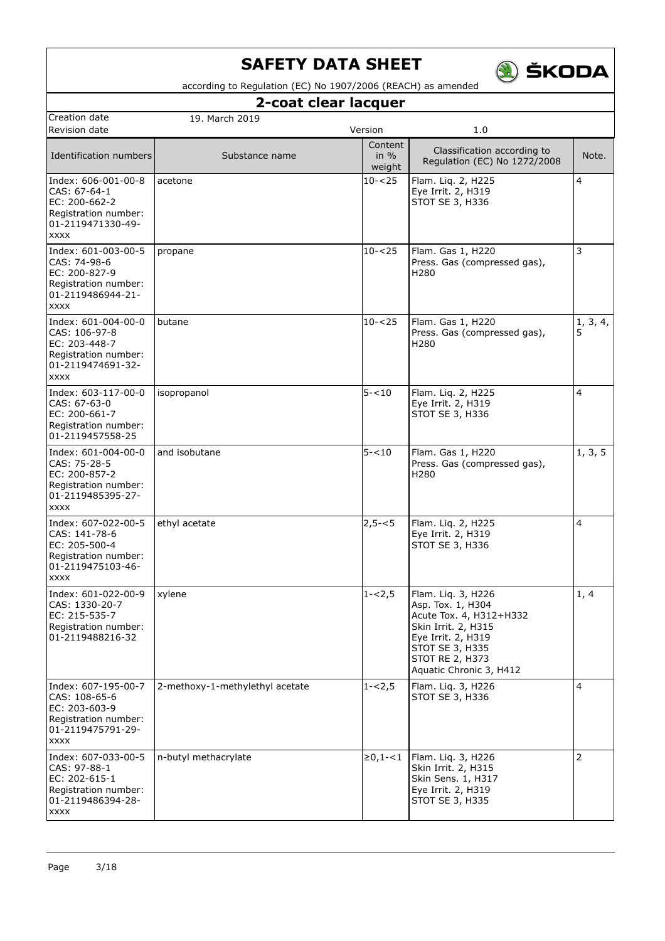

according to Regulation (EC) No 1907/2006 (REACH) as amended

## **2-coat clear lacquer**

| Creation date                                                                                                     | 19. March 2019                  |                             |                                                                                                                                                                                  |               |
|-------------------------------------------------------------------------------------------------------------------|---------------------------------|-----------------------------|----------------------------------------------------------------------------------------------------------------------------------------------------------------------------------|---------------|
| Revision date                                                                                                     |                                 | Version                     | 1.0                                                                                                                                                                              |               |
| Identification numbers                                                                                            | Substance name                  | Content<br>in $%$<br>weight | Classification according to<br>Regulation (EC) No 1272/2008                                                                                                                      | Note.         |
| Index: 606-001-00-8<br>CAS: 67-64-1<br>EC: 200-662-2<br>Registration number:<br>01-2119471330-49-<br><b>XXXX</b>  | acetone                         | $10 - 25$                   | Flam. Liq. 2, H225<br>Eye Irrit. 2, H319<br>STOT SE 3, H336                                                                                                                      | 4             |
| Index: 601-003-00-5<br>CAS: 74-98-6<br>EC: 200-827-9<br>Registration number:<br>01-2119486944-21-<br><b>XXXX</b>  | propane                         | $10 - 25$                   | Flam. Gas 1, H220<br>Press. Gas (compressed gas),<br>H <sub>280</sub>                                                                                                            | 3             |
| Index: 601-004-00-0<br>CAS: 106-97-8<br>EC: 203-448-7<br>Registration number:<br>01-2119474691-32-<br><b>XXXX</b> | butane                          | $10 - 25$                   | Flam. Gas 1, H220<br>Press. Gas (compressed gas),<br>H <sub>280</sub>                                                                                                            | 1, 3, 4,<br>5 |
| Index: 603-117-00-0<br>CAS: 67-63-0<br>EC: 200-661-7<br>Registration number:<br>01-2119457558-25                  | isopropanol                     | $5 - 10$                    | Flam. Liq. 2, H225<br>Eye Irrit. 2, H319<br>STOT SE 3, H336                                                                                                                      | 4             |
| Index: 601-004-00-0<br>CAS: 75-28-5<br>EC: 200-857-2<br>Registration number:<br>01-2119485395-27-<br><b>XXXX</b>  | and isobutane                   | $5 - 10$                    | Flam. Gas 1, H220<br>Press. Gas (compressed gas),<br>H <sub>280</sub>                                                                                                            | 1, 3, 5       |
| Index: 607-022-00-5<br>CAS: 141-78-6<br>EC: 205-500-4<br>Registration number:<br>01-2119475103-46-<br><b>XXXX</b> | ethyl acetate                   | $2,5 - 5$                   | Flam. Liq. 2, H225<br>Eye Irrit. 2, H319<br>STOT SE 3, H336                                                                                                                      | 4             |
| Index: 601-022-00-9<br>CAS: 1330-20-7<br>IEC: 215-535-7<br>Registration number:<br>01-2119488216-32               | xylene                          | $1 - 2,5$                   | Flam. Liq. 3, H226<br>Asp. Tox. 1, H304<br>Acute Tox. 4, H312+H332<br>Skin Irrit. 2, H315<br>Eye Irrit. 2, H319<br>STOT SE 3, H335<br>STOT RE 2, H373<br>Aquatic Chronic 3, H412 | 1, 4          |
| Index: 607-195-00-7<br>CAS: 108-65-6<br>EC: 203-603-9<br>Registration number:<br>01-2119475791-29-<br><b>XXXX</b> | 2-methoxy-1-methylethyl acetate | $1 - 2,5$                   | Flam. Lig. 3, H226<br>STOT SE 3, H336                                                                                                                                            | 4             |
| Index: 607-033-00-5<br>CAS: 97-88-1<br>EC: 202-615-1<br>Registration number:<br>01-2119486394-28-<br><b>XXXX</b>  | n-butyl methacrylate            | $\ge 0, 1 - 1$              | Flam. Liq. 3, H226<br>Skin Irrit. 2, H315<br>Skin Sens. 1, H317<br>Eye Irrit. 2, H319<br>STOT SE 3, H335                                                                         | 2             |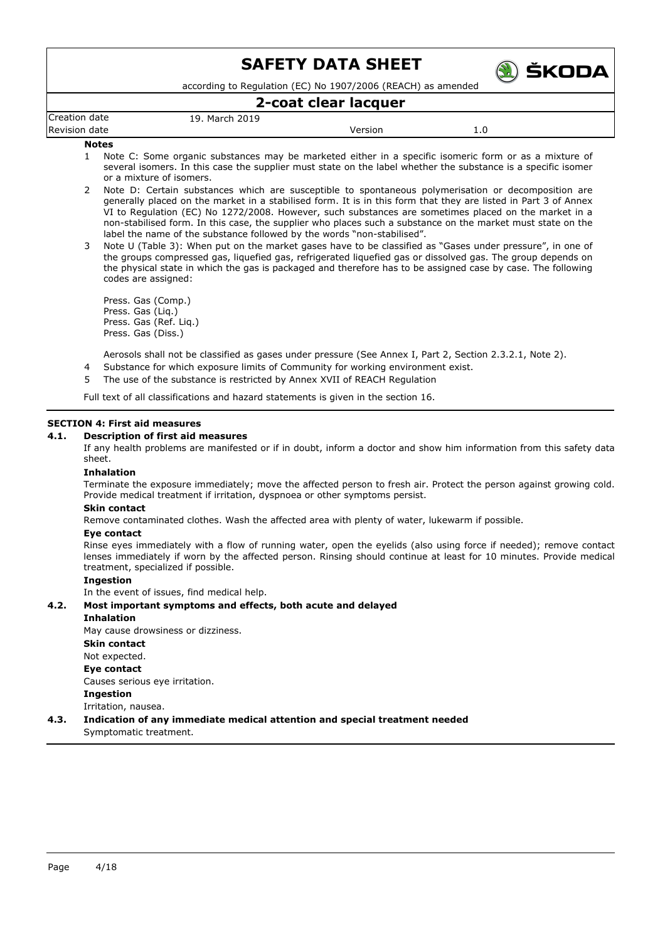

according to Regulation (EC) No 1907/2006 (REACH) as amended

### **2-coat clear lacquer**

| Creation date | . March 2019<br>19. |         |     |  |
|---------------|---------------------|---------|-----|--|
| Revision date |                     | Versior | 1.U |  |
| .             |                     |         |     |  |

#### **Notes**

- 1 Note C: Some organic substances may be marketed either in a specific isomeric form or as a mixture of several isomers. In this case the supplier must state on the label whether the substance is a specific isomer or a mixture of isomers.
- 2 Note D: Certain substances which are susceptible to spontaneous polymerisation or decomposition are generally placed on the market in a stabilised form. It is in this form that they are listed in Part 3 of Annex VI to Regulation (EC) No 1272/2008. However, such substances are sometimes placed on the market in a non-stabilised form. In this case, the supplier who places such a substance on the market must state on the label the name of the substance followed by the words "non-stabilised".
- 3 Note U (Table 3): When put on the market gases have to be classified as "Gases under pressure", in one of the groups compressed gas, liquefied gas, refrigerated liquefied gas or dissolved gas. The group depends on the physical state in which the gas is packaged and therefore has to be assigned case by case. The following codes are assigned:

Press. Gas (Comp.) Press. Gas (Liq.) Press. Gas (Ref. Liq.) Press. Gas (Diss.)

Aerosols shall not be classified as gases under pressure (See Annex I, Part 2, Section 2.3.2.1, Note 2).

- Substance for which exposure limits of Community for working environment exist.
- 5 The use of the substance is restricted by Annex XVII of REACH Regulation

Full text of all classifications and hazard statements is given in the section 16.

#### **SECTION 4: First aid measures**

#### **4.1. Description of first aid measures**

If any health problems are manifested or if in doubt, inform a doctor and show him information from this safety data sheet.

#### **Inhalation**

Terminate the exposure immediately; move the affected person to fresh air. Protect the person against growing cold. Provide medical treatment if irritation, dyspnoea or other symptoms persist.

#### **Skin contact**

Remove contaminated clothes. Wash the affected area with plenty of water, lukewarm if possible.

#### **Eye contact**

Rinse eyes immediately with a flow of running water, open the eyelids (also using force if needed); remove contact lenses immediately if worn by the affected person. Rinsing should continue at least for 10 minutes. Provide medical treatment, specialized if possible.

### **Ingestion**

In the event of issues, find medical help.

### **4.2. Most important symptoms and effects, both acute and delayed**

#### **Inhalation**

May cause drowsiness or dizziness.

- **Skin contact**
- Not expected.

#### **Eye contact**

Causes serious eye irritation.

- **Ingestion**
- Irritation, nausea.

### **4.3. Indication of any immediate medical attention and special treatment needed**

Symptomatic treatment.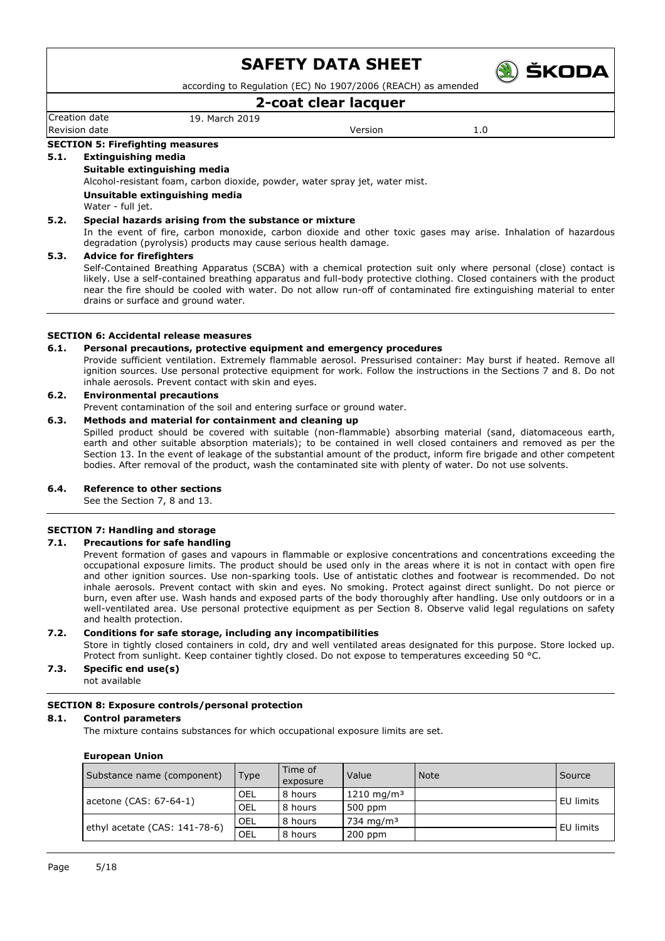

according to Regulation (EC) No 1907/2006 (REACH) as amended

### **2-coat clear lacquer**

Creation date 19. March 2019 Revision date and the version of the Version of the Version of the Version of the Version of the Version of the Version of the Version of the Version of the Version of the Version of the Version of the Version of the Versi

#### **SECTION 5: Firefighting measures**

### **5.1. Extinguishing media**

### **Suitable extinguishing media**

Alcohol-resistant foam, carbon dioxide, powder, water spray jet, water mist.

**Unsuitable extinguishing media**

Water - full jet.

### **5.2. Special hazards arising from the substance or mixture**

In the event of fire, carbon monoxide, carbon dioxide and other toxic gases may arise. Inhalation of hazardous degradation (pyrolysis) products may cause serious health damage.

#### **5.3. Advice for firefighters**

Self-Contained Breathing Apparatus (SCBA) with a chemical protection suit only where personal (close) contact is likely. Use a self-contained breathing apparatus and full-body protective clothing. Closed containers with the product near the fire should be cooled with water. Do not allow run-off of contaminated fire extinguishing material to enter drains or surface and ground water.

### **SECTION 6: Accidental release measures**

#### **6.1. Personal precautions, protective equipment and emergency procedures**

Provide sufficient ventilation. Extremely flammable aerosol. Pressurised container: May burst if heated. Remove all ignition sources. Use personal protective equipment for work. Follow the instructions in the Sections 7 and 8. Do not inhale aerosols. Prevent contact with skin and eyes.

### **6.2. Environmental precautions**

Prevent contamination of the soil and entering surface or ground water.

### **6.3. Methods and material for containment and cleaning up**

Spilled product should be covered with suitable (non-flammable) absorbing material (sand, diatomaceous earth, earth and other suitable absorption materials); to be contained in well closed containers and removed as per the Section 13. In the event of leakage of the substantial amount of the product, inform fire brigade and other competent bodies. After removal of the product, wash the contaminated site with plenty of water. Do not use solvents.

### **6.4. Reference to other sections**

See the Section 7, 8 and 13.

### **SECTION 7: Handling and storage**

### **7.1. Precautions for safe handling**

Prevent formation of gases and vapours in flammable or explosive concentrations and concentrations exceeding the occupational exposure limits. The product should be used only in the areas where it is not in contact with open fire and other ignition sources. Use non-sparking tools. Use of antistatic clothes and footwear is recommended. Do not inhale aerosols. Prevent contact with skin and eyes. No smoking. Protect against direct sunlight. Do not pierce or burn, even after use. Wash hands and exposed parts of the body thoroughly after handling. Use only outdoors or in a well-ventilated area. Use personal protective equipment as per Section 8. Observe valid legal regulations on safety and health protection.

### **7.2. Conditions for safe storage, including any incompatibilities**

Store in tightly closed containers in cold, dry and well ventilated areas designated for this purpose. Store locked up. Protect from sunlight. Keep container tightly closed. Do not expose to temperatures exceeding 50 °C.

## **7.3. Specific end use(s)**

not available

### **SECTION 8: Exposure controls/personal protection**

### **8.1. Control parameters**

The mixture contains substances for which occupational exposure limits are set.

#### **European Union**

| Substance name (component)    | Type       | Time of<br>exposure | Value                  | <b>Note</b> | Source    |
|-------------------------------|------------|---------------------|------------------------|-------------|-----------|
|                               | <b>OEL</b> | 8 hours             | 1210 mg/m <sup>3</sup> |             | EU limits |
| acetone (CAS: 67-64-1)        | <b>OEL</b> | 8 hours             | 500 ppm                |             |           |
|                               | OEL        | 8 hours             | 734 mg/m <sup>3</sup>  |             |           |
| ethyl acetate (CAS: 141-78-6) | OEL        | 8 hours             | $200$ ppm              |             | EU limits |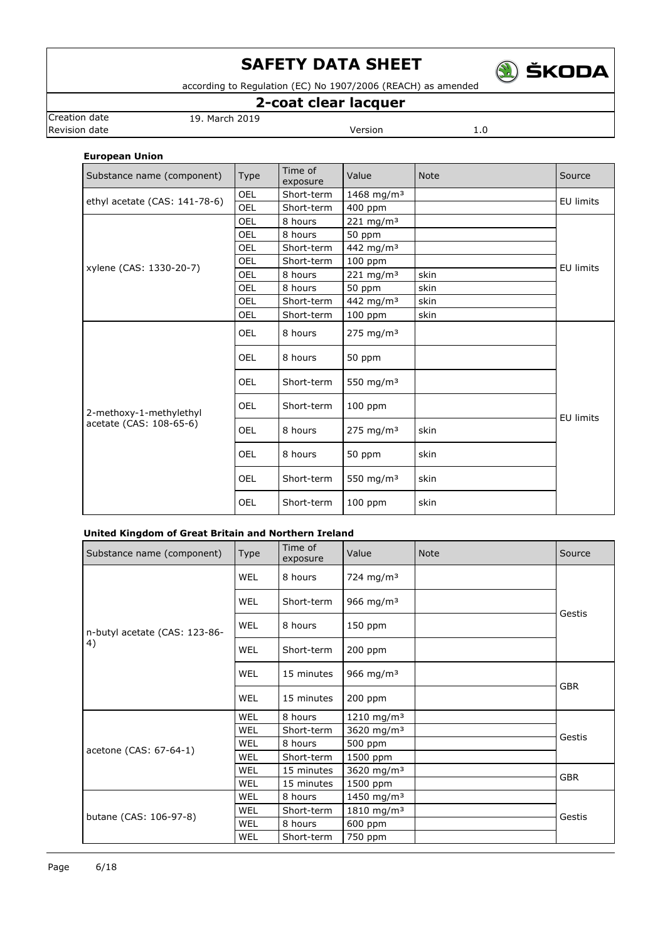

according to Regulation (EC) No 1907/2006 (REACH) as amended

## **2-coat clear lacquer**

**Revision date Version** 1.0

Creation date 19. March 2019

### **European Union**

| Substance name (component)    | Type       | Time of<br>exposure | Value                   | <b>Note</b> | Source           |
|-------------------------------|------------|---------------------|-------------------------|-------------|------------------|
| ethyl acetate (CAS: 141-78-6) | <b>OEL</b> | Short-term          | 1468 mg/m <sup>3</sup>  |             | EU limits        |
|                               | OEL        | Short-term          | 400 ppm                 |             |                  |
|                               | OEL        | 8 hours             | $221 \, \text{mg/m}^3$  |             |                  |
|                               | OEL        | 8 hours             | 50 ppm                  |             |                  |
|                               | OEL        | Short-term          | 442 mg/m <sup>3</sup>   |             |                  |
| xylene (CAS: 1330-20-7)       | OEL        | Short-term          | $100$ ppm               |             | <b>EU limits</b> |
|                               | OEL        | 8 hours             | $221$ mg/m <sup>3</sup> | skin        |                  |
|                               | OEL        | 8 hours             | 50 ppm                  | skin        |                  |
|                               | OEL        | Short-term          | 442 mg/m <sup>3</sup>   | skin        |                  |
|                               | OEL        | Short-term          | 100 ppm                 | skin        |                  |
|                               | <b>OEL</b> | 8 hours             | $275$ mg/m <sup>3</sup> |             | <b>EU limits</b> |
|                               | <b>OEL</b> | 8 hours             | 50 ppm                  |             |                  |
|                               | <b>OEL</b> | Short-term          | 550 mg/m <sup>3</sup>   |             |                  |
| 2-methoxy-1-methylethyl       | OEL        | Short-term          | $100$ ppm               |             |                  |
| acetate (CAS: 108-65-6)       | <b>OEL</b> | 8 hours             | 275 mg/m <sup>3</sup>   | skin        |                  |
|                               | <b>OEL</b> | 8 hours             | 50 ppm                  | skin        |                  |
|                               | <b>OEL</b> | Short-term          | 550 mg/m $3$            | skin        |                  |
|                               | <b>OEL</b> | Short-term          | $100$ ppm               | skin        |                  |

### **United Kingdom of Great Britain and Northern Ireland**

| Substance name (component)    | Type       | Time of<br>exposure | Value                   | <b>Note</b> | Source     |
|-------------------------------|------------|---------------------|-------------------------|-------------|------------|
|                               | <b>WEL</b> | 8 hours             | 724 mg/m <sup>3</sup>   |             |            |
|                               | <b>WEL</b> | Short-term          | 966 mg/m <sup>3</sup>   |             | Gestis     |
| n-butyl acetate (CAS: 123-86- | <b>WEL</b> | 8 hours             | 150 ppm                 |             |            |
| 4)                            | <b>WEL</b> | Short-term          | 200 ppm                 |             |            |
|                               | <b>WEL</b> | 15 minutes          | 966 mg/m <sup>3</sup>   |             | <b>GBR</b> |
|                               | <b>WEL</b> | 15 minutes          | 200 ppm                 |             |            |
|                               | <b>WEL</b> | 8 hours             | 1210 mg/m <sup>3</sup>  |             |            |
|                               | <b>WEL</b> | Short-term          | 3620 mg/m <sup>3</sup>  |             | Gestis     |
| acetone (CAS: 67-64-1)        | <b>WEL</b> | 8 hours             | 500 ppm                 |             |            |
|                               | WEL        | Short-term          | 1500 ppm                |             |            |
|                               | WEL        | 15 minutes          | 3620 mg/m <sup>3</sup>  |             | <b>GBR</b> |
|                               | <b>WEL</b> | 15 minutes          | 1500 ppm                |             |            |
|                               | WEL        | 8 hours             | 1450 mg/m <sup>3</sup>  |             |            |
| butane (CAS: 106-97-8)        | <b>WEL</b> | Short-term          | $1810 \; \text{mg/m}^3$ |             | Gestis     |
|                               | <b>WEL</b> | 8 hours             | 600 ppm                 |             |            |
|                               | WEL        | Short-term          | 750 ppm                 |             |            |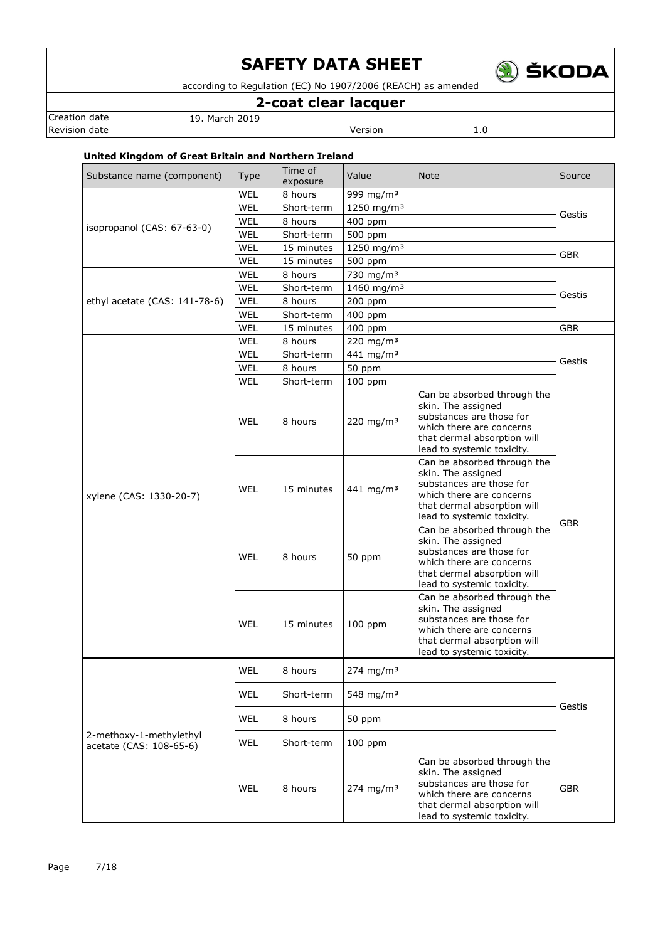

according to Regulation (EC) No 1907/2006 (REACH) as amended

## **2-coat clear lacquer**

Creation date 19. March 2019

**Revision date Version** 1.0

### **United Kingdom of Great Britain and Northern Ireland**

| Substance name (component)                         | <b>Type</b> | Time of<br>exposure   | Value                              | <b>Note</b>                                                                                                                                                            | Source     |
|----------------------------------------------------|-------------|-----------------------|------------------------------------|------------------------------------------------------------------------------------------------------------------------------------------------------------------------|------------|
|                                                    | WEL         | 8 hours               | 999 mg/m <sup>3</sup>              |                                                                                                                                                                        |            |
|                                                    | WEL         | Short-term            | 1250 mg/m <sup>3</sup>             |                                                                                                                                                                        | Gestis     |
| isopropanol (CAS: 67-63-0)                         | WEL         | 8 hours               | 400 ppm                            |                                                                                                                                                                        |            |
|                                                    | WEL         | Short-term            | 500 ppm                            |                                                                                                                                                                        |            |
|                                                    | WEL         | 15 minutes            | 1250 mg/m <sup>3</sup>             |                                                                                                                                                                        | <b>GBR</b> |
|                                                    | WEL         | 15 minutes            | 500 ppm                            |                                                                                                                                                                        |            |
|                                                    | WEL         | 8 hours               | 730 mg/m <sup>3</sup>              |                                                                                                                                                                        | Gestis     |
|                                                    | WEL         | Short-term            | 1460 mg/m <sup>3</sup>             |                                                                                                                                                                        |            |
| ethyl acetate (CAS: 141-78-6)                      | WEL         | 8 hours               | 200 ppm                            |                                                                                                                                                                        |            |
|                                                    | WEL         | Short-term            | 400 ppm                            |                                                                                                                                                                        |            |
|                                                    | WEL         | 15 minutes            | 400 ppm                            |                                                                                                                                                                        | <b>GBR</b> |
|                                                    | WEL         | 8 hours               | 220 mg/m <sup>3</sup>              |                                                                                                                                                                        |            |
|                                                    | WEL         | Short-term            | 441 mg/m <sup>3</sup>              |                                                                                                                                                                        | Gestis     |
|                                                    | WEL         | 8 hours               | 50 ppm                             |                                                                                                                                                                        |            |
|                                                    | WEL<br>WEL  | Short-term<br>8 hours | $100$ ppm<br>220 mg/m <sup>3</sup> | Can be absorbed through the<br>skin. The assigned<br>substances are those for<br>which there are concerns<br>that dermal absorption will<br>lead to systemic toxicity. |            |
| xylene (CAS: 1330-20-7)                            | WEL         | 15 minutes            | 441 mg/m <sup>3</sup>              | Can be absorbed through the<br>skin. The assigned<br>substances are those for<br>which there are concerns<br>that dermal absorption will<br>lead to systemic toxicity. | <b>GBR</b> |
|                                                    | WEL         | 8 hours               | 50 ppm                             | Can be absorbed through the<br>skin. The assigned<br>substances are those for<br>which there are concerns<br>that dermal absorption will<br>lead to systemic toxicity. |            |
|                                                    | WEL         | 15 minutes            | $100$ ppm                          | Can be absorbed through the<br>skin. The assigned<br>substances are those for<br>which there are concerns<br>that dermal absorption will<br>lead to systemic toxicity. |            |
|                                                    | WEL         | 8 hours               | $274 \; mg/m3$                     |                                                                                                                                                                        |            |
|                                                    | WEL         | Short-term            | 548 mg/m <sup>3</sup>              |                                                                                                                                                                        | Gestis     |
|                                                    | <b>WEL</b>  | 8 hours               | 50 ppm                             |                                                                                                                                                                        |            |
| 2-methoxy-1-methylethyl<br>acetate (CAS: 108-65-6) | <b>WEL</b>  | Short-term            | 100 ppm                            |                                                                                                                                                                        |            |
|                                                    | WEL         | 8 hours               | $274 \; mg/m3$                     | Can be absorbed through the<br>skin. The assigned<br>substances are those for<br>which there are concerns<br>that dermal absorption will<br>lead to systemic toxicity. | <b>GBR</b> |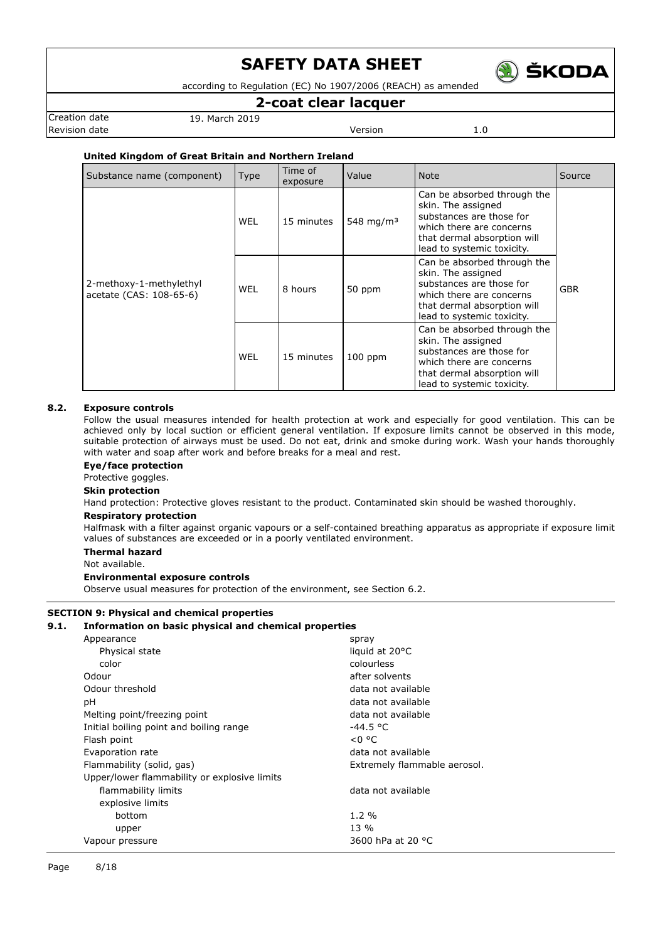

according to Regulation (EC) No 1907/2006 (REACH) as amended

### **2-coat clear lacquer**

Creation date 19. March 2019 Revision date **Version** 2.0

### **United Kingdom of Great Britain and Northern Ireland**

| Substance name (component)                         | <b>Type</b> | Time of<br>exposure | Value                 | <b>Note</b>                                                                                                                                                            | Source     |
|----------------------------------------------------|-------------|---------------------|-----------------------|------------------------------------------------------------------------------------------------------------------------------------------------------------------------|------------|
|                                                    | WEL         | 15 minutes          | 548 mg/m <sup>3</sup> | Can be absorbed through the<br>skin. The assigned<br>substances are those for<br>which there are concerns<br>that dermal absorption will<br>lead to systemic toxicity. |            |
| 2-methoxy-1-methylethyl<br>acetate (CAS: 108-65-6) | WEL         | 8 hours             | 50 ppm                | Can be absorbed through the<br>skin. The assigned<br>substances are those for<br>which there are concerns<br>that dermal absorption will<br>lead to systemic toxicity. | <b>GBR</b> |
|                                                    | WEL         | 15 minutes          | $100$ ppm             | Can be absorbed through the<br>skin. The assigned<br>substances are those for<br>which there are concerns<br>that dermal absorption will<br>lead to systemic toxicity. |            |

### **8.2. Exposure controls**

Follow the usual measures intended for health protection at work and especially for good ventilation. This can be achieved only by local suction or efficient general ventilation. If exposure limits cannot be observed in this mode, suitable protection of airways must be used. Do not eat, drink and smoke during work. Wash your hands thoroughly with water and soap after work and before breaks for a meal and rest.

#### **Eye/face protection**

Protective goggles.

#### **Skin protection**

Hand protection: Protective gloves resistant to the product. Contaminated skin should be washed thoroughly.

#### **Respiratory protection**

Halfmask with a filter against organic vapours or a self-contained breathing apparatus as appropriate if exposure limit values of substances are exceeded or in a poorly ventilated environment.

### **Thermal hazard**

Not available.

#### **Environmental exposure controls**

Observe usual measures for protection of the environment, see Section 6.2.

### **SECTION 9: Physical and chemical properties**

#### **9.1. Information on basic physical and chemical properties**

| spray                        |
|------------------------------|
| liquid at 20°C               |
| colourless                   |
| after solvents               |
| data not available           |
| data not available           |
| data not available           |
| -44.5 °C                     |
| < 0 °C                       |
| data not available           |
| Extremely flammable aerosol. |
|                              |
| data not available           |
|                              |
| $1.2\%$                      |
| $13\%$                       |
| 3600 hPa at 20 °C            |
|                              |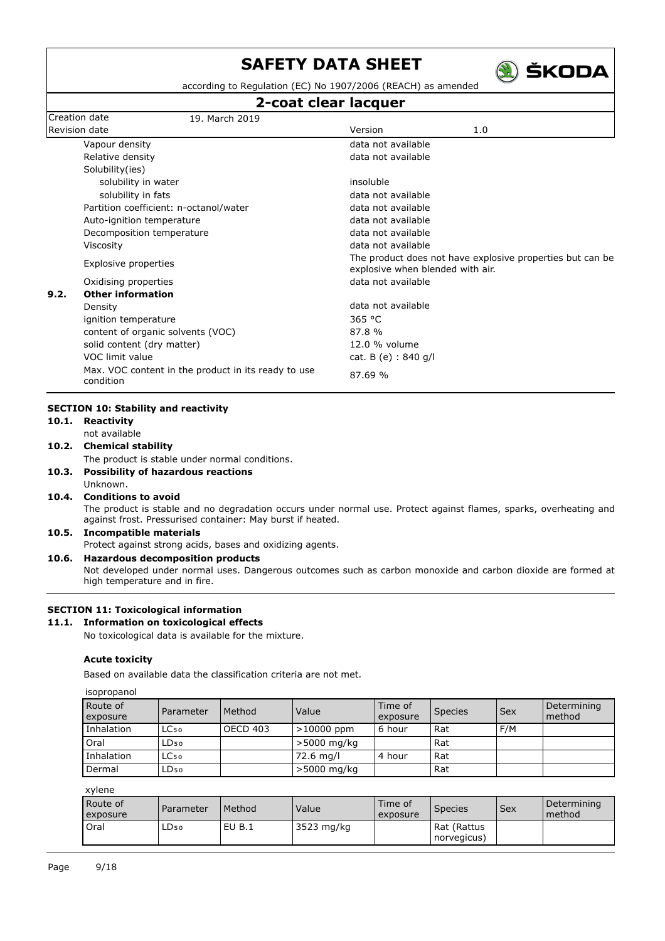

according to Regulation (EC) No 1907/2006 (REACH) as amended

### **2-coat clear lacquer**

|                                                                  | z-coat clear lacquer                                                                                              |
|------------------------------------------------------------------|-------------------------------------------------------------------------------------------------------------------|
| Creation date<br>19. March 2019                                  |                                                                                                                   |
| Revision date                                                    | Version<br>1.0                                                                                                    |
| Vapour density                                                   | data not available                                                                                                |
| Relative density                                                 | data not available                                                                                                |
| Solubility(ies)                                                  |                                                                                                                   |
| solubility in water                                              | insoluble                                                                                                         |
| solubility in fats                                               | data not available                                                                                                |
| Partition coefficient: n-octanol/water                           | data not available                                                                                                |
| Auto-ignition temperature                                        | data not available                                                                                                |
| Decomposition temperature                                        | data not available                                                                                                |
| Viscosity                                                        | data not available                                                                                                |
| Explosive properties                                             | The product does not have explosive properties but can be<br>explosive when blended with air.                     |
| Oxidising properties                                             | data not available                                                                                                |
| 9.2.<br><b>Other information</b>                                 |                                                                                                                   |
| Density                                                          | data not available                                                                                                |
| ignition temperature                                             | 365 °C                                                                                                            |
| content of organic solvents (VOC)                                | 87.8%                                                                                                             |
| solid content (dry matter)                                       | 12.0 % volume                                                                                                     |
| VOC limit value                                                  | cat. B (e) : 840 g/l                                                                                              |
| Max. VOC content in the product in its ready to use<br>condition | 87.69 %                                                                                                           |
| <b>SECTION 10: Stability and reactivity</b>                      |                                                                                                                   |
| 10.1. Reactivity                                                 |                                                                                                                   |
| not available                                                    |                                                                                                                   |
| 10.2. Chemical stability                                         |                                                                                                                   |
| The product is stable under normal conditions.                   |                                                                                                                   |
| 10.3. Possibility of hazardous reactions                         |                                                                                                                   |
| Unknown.                                                         |                                                                                                                   |
| <b>Conditions to avoid</b><br>10.4.                              |                                                                                                                   |
| against frost. Pressurised container: May burst if heated.       | The product is stable and no degradation occurs under normal use. Protect against flames, sparks, overheating and |
| <b>Incompatible materials</b><br>10.5.                           |                                                                                                                   |
| Protect against strong acids, bases and oxidizing agents.        |                                                                                                                   |

### **10.6. Hazardous decomposition products**

Not developed under normal uses. Dangerous outcomes such as carbon monoxide and carbon dioxide are formed at high temperature and in fire.

### **SECTION 11: Toxicological information**

### **11.1. Information on toxicological effects**

No toxicological data is available for the mixture.

#### **Acute toxicity**

Based on available data the classification criteria are not met.

| isopropanol |  |  |
|-------------|--|--|
|             |  |  |

| Route of<br>exposure | Parameter        | Method   | Value        | Time of<br>exposure | Species | Sex | Determining<br>method |
|----------------------|------------------|----------|--------------|---------------------|---------|-----|-----------------------|
| Inhalation           | LC <sub>50</sub> | OECD 403 | $>10000$ ppm | 6 hour              | Rat     | F/M |                       |
| Oral                 | LD <sub>50</sub> |          | >5000 mg/kg  |                     | Rat     |     |                       |
| Inhalation           | LC <sub>50</sub> |          | 72.6 mg/l    | 4 hour              | l Rat   |     |                       |
| Dermal               | LD <sub>50</sub> |          | >5000 mg/kg  |                     | Rat     |     |                       |

xylene

| Route of<br>exposure | Parameter        | Method | Value      | Time of<br>exposure | <b>Species</b>             | Sex | Determining<br>method |
|----------------------|------------------|--------|------------|---------------------|----------------------------|-----|-----------------------|
| Oral                 | LD <sub>50</sub> | EU B.1 | 3523 mg/kg |                     | Rat (Rattus<br>norvegicus) |     |                       |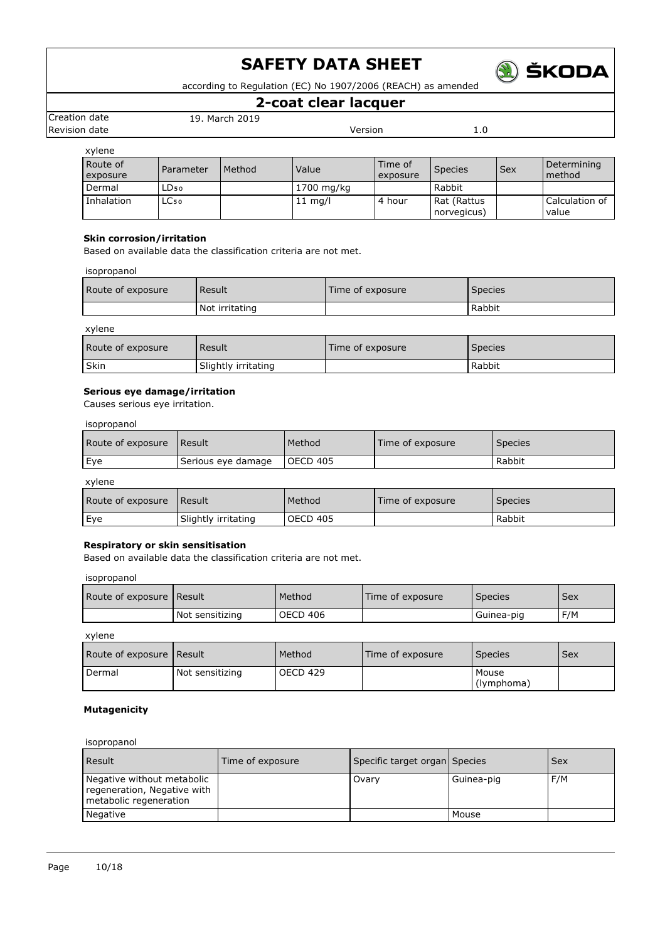

according to Regulation (EC) No 1907/2006 (REACH) as amended

### **2-coat clear lacquer**

Creation date 19. March 2019 **Revision date Version** 1.0

| xylene               |                  |        |                   |                     |                            |     |                         |
|----------------------|------------------|--------|-------------------|---------------------|----------------------------|-----|-------------------------|
| Route of<br>exposure | Parameter        | Method | Value             | Time of<br>exposure | <b>Species</b>             | Sex | Determining<br>method   |
| Dermal               | LD <sub>50</sub> |        | 1700 mg/kg        |                     | Rabbit                     |     |                         |
| Inhalation           | LC <sub>50</sub> |        | $11 \text{ mq/l}$ | 4 hour              | Rat (Rattus<br>norvegicus) |     | Calculation of<br>value |

### **Skin corrosion/irritation**

Based on available data the classification criteria are not met.

isopropanol

| Route of exposure | Result         | Time of exposure | <b>Species</b> |
|-------------------|----------------|------------------|----------------|
|                   | Not irritating |                  | Rabbit         |

xylene

| Route of exposure | Result              | Time of exposure | Species |
|-------------------|---------------------|------------------|---------|
| Skin              | Slightly irritating |                  | Rabbit  |

### **Serious eye damage/irritation**

Causes serious eye irritation.

### isopropanol

| Route of exposure | l Result           | Method   | Time of exposure | <b>Species</b> |
|-------------------|--------------------|----------|------------------|----------------|
| Eye               | Serious eye damage | OECD 405 |                  | Rabbit         |

xylene

| Route of exposure | Result              | Method   | Time of exposure | Species |
|-------------------|---------------------|----------|------------------|---------|
| Eye               | Slightly irritating | OECD 405 |                  | Rabbit  |

### **Respiratory or skin sensitisation**

Based on available data the classification criteria are not met.

isopropanol

| Route of exposure   Result |                 | Method   | Time of exposure | <b>Species</b> | <b>Sex</b> |
|----------------------------|-----------------|----------|------------------|----------------|------------|
|                            | Not sensitizing | OECD 406 |                  | Guinea-pig     | F/M        |

xylene

| Route of exposure Result |                 | Method   | Time of exposure | <b>Species</b>      | <b>Sex</b> |
|--------------------------|-----------------|----------|------------------|---------------------|------------|
| Dermal                   | Not sensitizing | OECD 429 |                  | Mouse<br>(lymphoma) |            |

### **Mutagenicity**

isopropanol

| Result                                                                              | Time of exposure | Specific target organ Species |            | <b>Sex</b> |
|-------------------------------------------------------------------------------------|------------------|-------------------------------|------------|------------|
| Negative without metabolic<br>regeneration, Negative with<br>metabolic regeneration |                  | Ovary                         | Guinea-pig | F/M        |
| Negative                                                                            |                  |                               | Mouse      |            |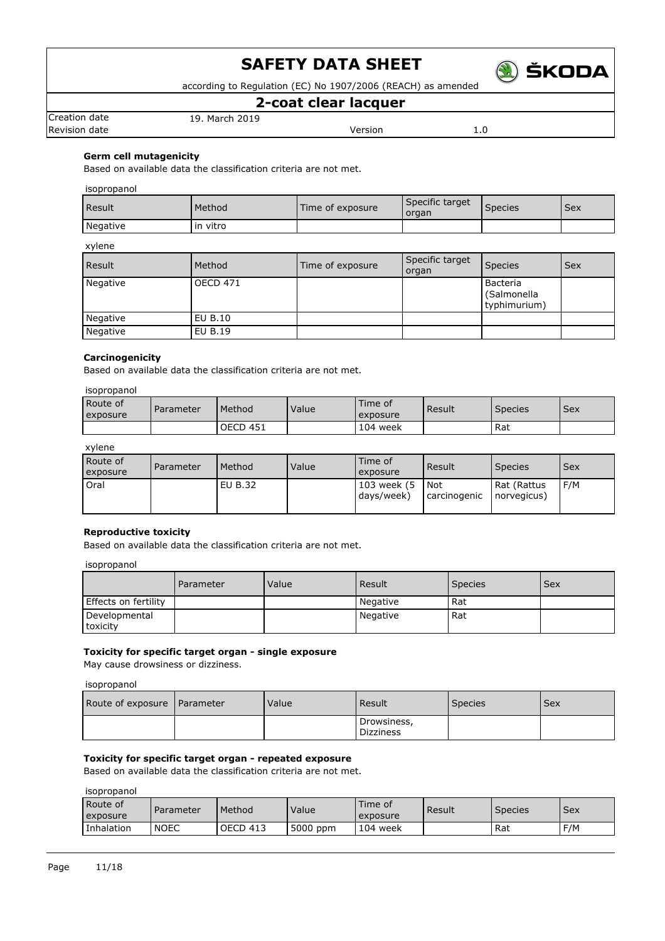

according to Regulation (EC) No 1907/2006 (REACH) as amended

### **2-coat clear lacquer**

Revision date **Version** 2.0

Creation date 19. March 2019

### **Germ cell mutagenicity**

Based on available data the classification criteria are not met.

### isopropanol

| <b>Result</b> | Method   | Time of exposure | Specific target<br>organ | <b>Species</b> | <b>Sex</b> |
|---------------|----------|------------------|--------------------------|----------------|------------|
| Negative      | in vitro |                  |                          |                |            |

### xylene

| <b>Result</b> | Method          | Time of exposure | Specific target<br>organ | <b>Species</b>                          | l Sex |
|---------------|-----------------|------------------|--------------------------|-----------------------------------------|-------|
| Negative      | <b>OECD 471</b> |                  |                          | Bacteria<br>(Salmonella<br>typhimurium) |       |
| Negative      | EU B.10         |                  |                          |                                         |       |
| Negative      | EU B.19         |                  |                          |                                         |       |

#### **Carcinogenicity**

Based on available data the classification criteria are not met.

### isopropanol

| Route of<br>exposure | Parameter | Method          | Value | Time of<br>exposure | Result | <b>Species</b> | Sex |
|----------------------|-----------|-----------------|-------|---------------------|--------|----------------|-----|
|                      |           | <b>OECD 451</b> |       | 104 week            |        | Rat            |     |

### xylene

| Route of<br>exposure | Parameter | l Method | Value | Time of<br>exposure       | Result                     | <b>Species</b>             | Sex |
|----------------------|-----------|----------|-------|---------------------------|----------------------------|----------------------------|-----|
| Oral                 |           | EU B.32  |       | 103 week (5<br>days/week) | <b>Not</b><br>carcinogenic | Rat (Rattus<br>norvegicus) | F/M |

### **Reproductive toxicity**

Based on available data the classification criteria are not met.

#### isopropanol

|                           | Parameter | Value | l Result | <b>Species</b> | <b>Sex</b> |
|---------------------------|-----------|-------|----------|----------------|------------|
| Effects on fertility      |           |       | Negative | Rat            |            |
| Developmental<br>toxicity |           |       | Negative | Rat            |            |

### **Toxicity for specific target organ - single exposure**

May cause drowsiness or dizziness.

### isopropanol

| Route of exposure   Parameter | Value | Result                          | <b>Species</b> | Sex |
|-------------------------------|-------|---------------------------------|----------------|-----|
|                               |       | Drowsiness,<br><b>Dizziness</b> |                |     |

### **Toxicity for specific target organ - repeated exposure**

Based on available data the classification criteria are not met.

isopropanol

| Route of<br>exposure | Parameter   | Method   | Value    | Time of<br>exposure | Result | Species | l Sex |
|----------------------|-------------|----------|----------|---------------------|--------|---------|-------|
| Inhalation           | <b>NOEC</b> | OECD 413 | 5000 ppm | 104 week            |        | Rat     | F/M   |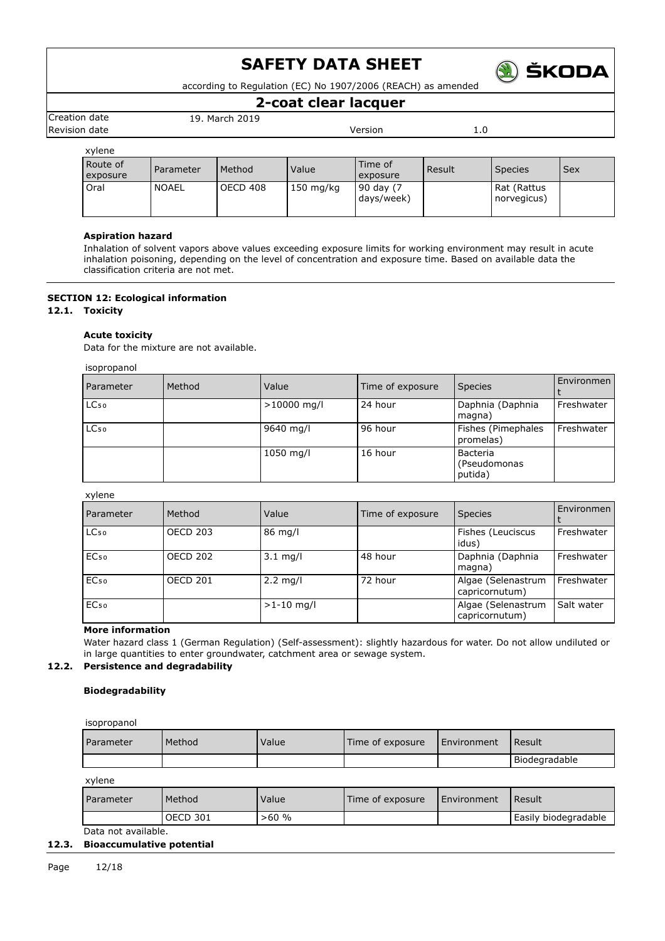

according to Regulation (EC) No 1907/2006 (REACH) as amended

### **2-coat clear lacquer**

Creation date 19. March 2019 Revision date **Version** 2.0

| xylene               |           |          |                     |                         |        |                            |            |
|----------------------|-----------|----------|---------------------|-------------------------|--------|----------------------------|------------|
| Route of<br>exposure | Parameter | Method   | Value               | Time of<br>exposure     | Result | <b>Species</b>             | <b>Sex</b> |
| Oral                 | NOAEL     | OECD 408 | $150 \text{ mg/kg}$ | 90 day (7<br>days/week) |        | Rat (Rattus<br>norvegicus) |            |

### **Aspiration hazard**

Inhalation of solvent vapors above values exceeding exposure limits for working environment may result in acute inhalation poisoning, depending on the level of concentration and exposure time. Based on available data the classification criteria are not met.

### **SECTION 12: Ecological information**

**12.1. Toxicity**

### **Acute toxicity**

Data for the mixture are not available.

isopropanol

| Parameter | Method | Value         | Time of exposure | <b>Species</b>                      | Environmen |
|-----------|--------|---------------|------------------|-------------------------------------|------------|
| $LC_{50}$ |        | $>10000$ mg/l | 24 hour          | Daphnia (Daphnia<br>magna)          | Freshwater |
| $LC_{50}$ |        | 9640 mg/l     | 96 hour          | Fishes (Pimephales<br>promelas)     | Freshwater |
|           |        | 1050 mg/l     | 16 hour          | Bacteria<br>(Pseudomonas<br>putida) |            |

### xylene

| Parameter        | Method          | Value              | Time of exposure | <b>Species</b>                       | Environmen |
|------------------|-----------------|--------------------|------------------|--------------------------------------|------------|
| LC <sub>50</sub> | <b>OECD 203</b> | 86 mg/l            |                  | Fishes (Leuciscus<br>idus)           | Freshwater |
| EC <sub>50</sub> | <b>OECD 202</b> | $3.1 \text{ mg/l}$ | 48 hour          | Daphnia (Daphnia<br>magna)           | Freshwater |
| EC <sub>50</sub> | <b>OECD 201</b> | $2.2$ mg/l         | 72 hour          | Algae (Selenastrum<br>capricornutum) | Freshwater |
| EC <sub>50</sub> |                 | $>1-10$ mg/l       |                  | Algae (Selenastrum<br>capricornutum) | Salt water |

### **More information**

Water hazard class 1 (German Regulation) (Self-assessment): slightly hazardous for water. Do not allow undiluted or in large quantities to enter groundwater, catchment area or sewage system.

### **12.2. Persistence and degradability**

### **Biodegradability**

| isopropanol |        |       |                  |             |               |
|-------------|--------|-------|------------------|-------------|---------------|
| Parameter   | Method | Value | Time of exposure | Environment | Result        |
|             |        |       |                  |             | Biodegradable |

xylene

| <b>Parameter</b> | Method   | Value | Time of exposure | I Environment | Result               |
|------------------|----------|-------|------------------|---------------|----------------------|
|                  | OECD 301 | >60%  |                  |               | Easily biodegradable |
| .                |          |       |                  |               |                      |

Data not available.

### **12.3. Bioaccumulative potential**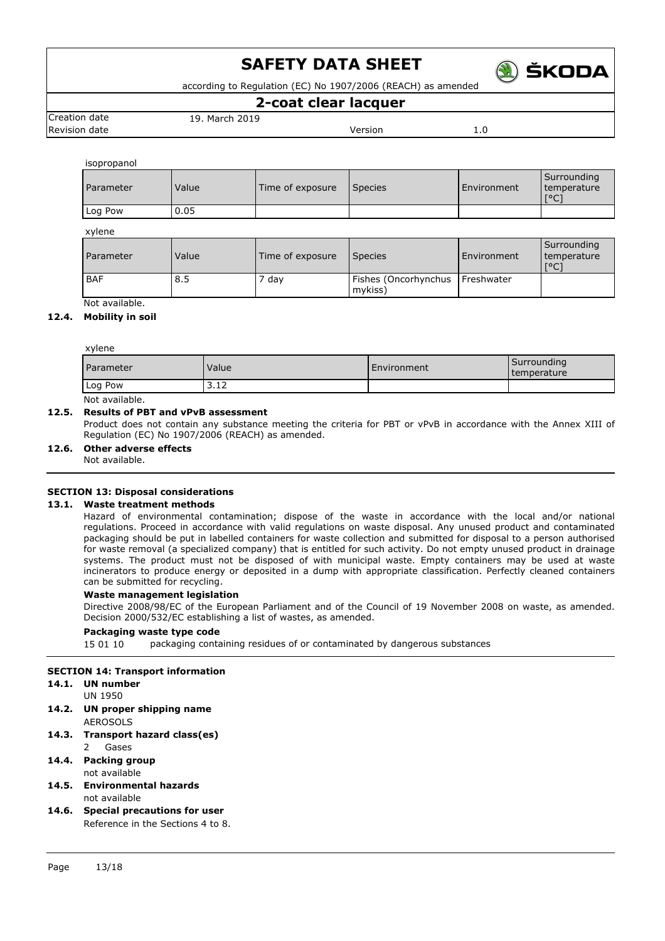

according to Regulation (EC) No 1907/2006 (REACH) as amended

### **2-coat clear lacquer**

Creation date 19. March 2019 Revision date **Network** 1.0

isopropanol

| Parameter  | Value | Time of exposure | <b>Species</b>                  | Environment | Surrounding<br>temperature<br>[°C] |
|------------|-------|------------------|---------------------------------|-------------|------------------------------------|
| Log Pow    | 0.05  |                  |                                 |             |                                    |
| xylene     |       |                  |                                 |             |                                    |
| Parameter  | Value | Time of exposure | <b>Species</b>                  | Environment | Surrounding<br>temperature<br>[°C] |
| <b>BAF</b> | 8.5   | 7 day            | Fishes (Oncorhynchus<br>mykiss) | Freshwater  |                                    |

Not available.

### **12.4. Mobility in soil**

| xylene    |       |             |                            |  |  |
|-----------|-------|-------------|----------------------------|--|--|
| Parameter | Value | Environment | Surrounding<br>temperature |  |  |
| Log Pow   | 3.12  |             |                            |  |  |
| .<br>.    |       |             |                            |  |  |

Not available.

### **12.5. Results of PBT and vPvB assessment**

Product does not contain any substance meeting the criteria for PBT or vPvB in accordance with the Annex XIII of Regulation (EC) No 1907/2006 (REACH) as amended.

**12.6. Other adverse effects**

Not available.

### **SECTION 13: Disposal considerations**

### **13.1. Waste treatment methods**

Hazard of environmental contamination; dispose of the waste in accordance with the local and/or national regulations. Proceed in accordance with valid regulations on waste disposal. Any unused product and contaminated packaging should be put in labelled containers for waste collection and submitted for disposal to a person authorised for waste removal (a specialized company) that is entitled for such activity. Do not empty unused product in drainage systems. The product must not be disposed of with municipal waste. Empty containers may be used at waste incinerators to produce energy or deposited in a dump with appropriate classification. Perfectly cleaned containers can be submitted for recycling.

### **Waste management legislation**

Directive 2008/98/EC of the European Parliament and of the Council of 19 November 2008 on waste, as amended. Decision 2000/532/EC establishing a list of wastes, as amended.

#### **Packaging waste type code**

15 01 10 packaging containing residues of or contaminated by dangerous substances

### **SECTION 14: Transport information**

#### **14.1. UN number** UN 1950

- **14.2. UN proper shipping name** AEROSOLS
- **14.3. Transport hazard class(es)** 2 Gases
- **14.4. Packing group** not available
- **14.5. Environmental hazards** not available
- **14.6. Special precautions for user** Reference in the Sections 4 to 8.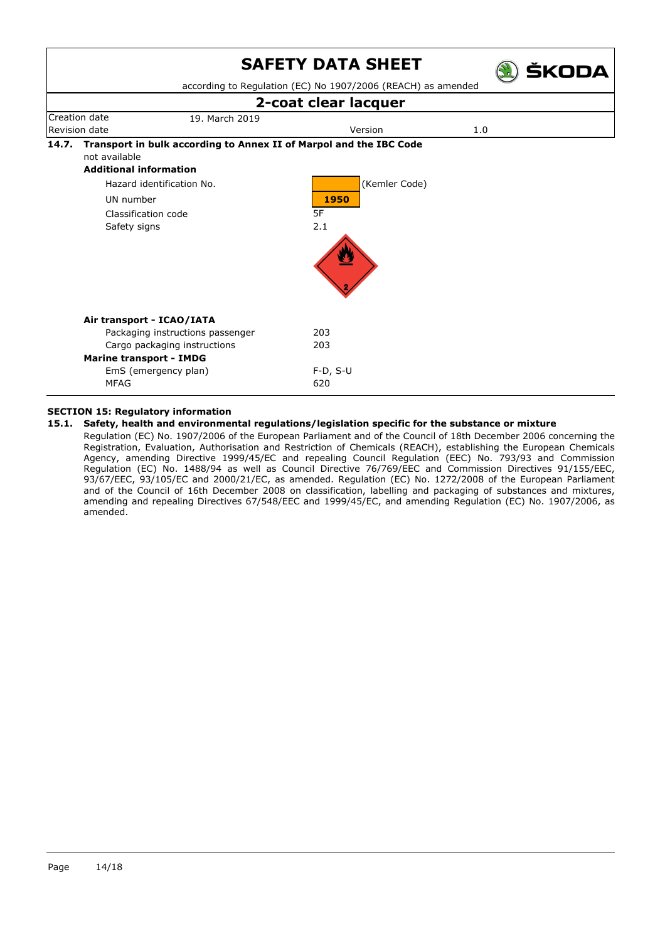

### **SECTION 15: Regulatory information**

### **15.1. Safety, health and environmental regulations/legislation specific for the substance or mixture**

Regulation (EC) No. 1907/2006 of the European Parliament and of the Council of 18th December 2006 concerning the Registration, Evaluation, Authorisation and Restriction of Chemicals (REACH), establishing the European Chemicals Agency, amending Directive 1999/45/EC and repealing Council Regulation (EEC) No. 793/93 and Commission Regulation (EC) No. 1488/94 as well as Council Directive 76/769/EEC and Commission Directives 91/155/EEC, 93/67/EEC, 93/105/EC and 2000/21/EC, as amended. Regulation (EC) No. 1272/2008 of the European Parliament and of the Council of 16th December 2008 on classification, labelling and packaging of substances and mixtures, amending and repealing Directives 67/548/EEC and 1999/45/EC, and amending Regulation (EC) No. 1907/2006, as amended.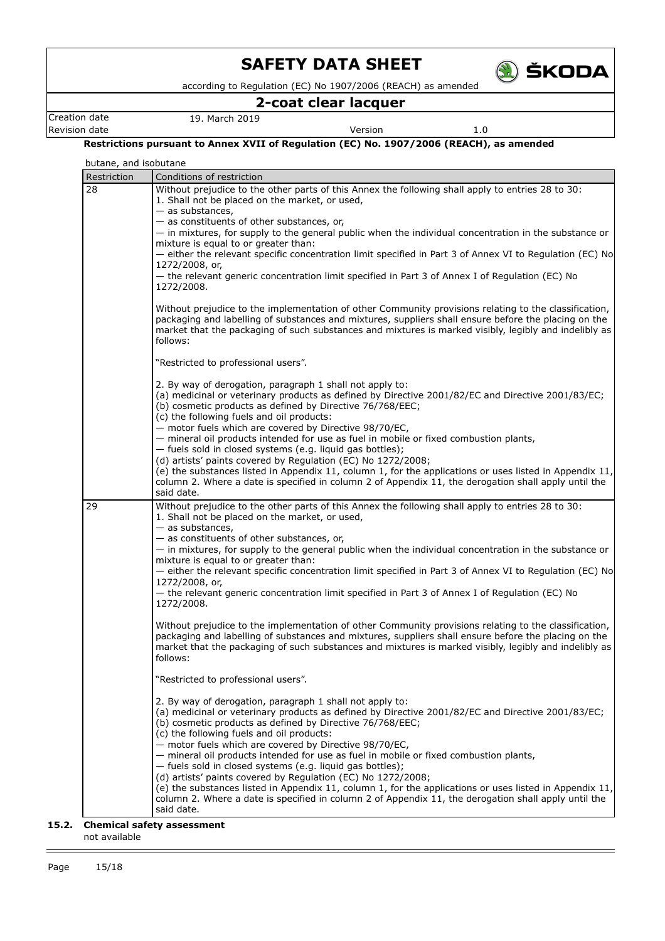

according to Regulation (EC) No 1907/2006 (REACH) as amended

### **2-coat clear lacquer**

Creation date 19. March 2019 **Revision date Version** 1.0

**Restrictions pursuant to Annex XVII of Regulation (EC) No. 1907/2006 (REACH), as amended**

| butane, and isobutane<br>Restriction | Conditions of restriction                                                                                                                                                                                                                                                                                                                                                                                                  |
|--------------------------------------|----------------------------------------------------------------------------------------------------------------------------------------------------------------------------------------------------------------------------------------------------------------------------------------------------------------------------------------------------------------------------------------------------------------------------|
| 28                                   | Without prejudice to the other parts of this Annex the following shall apply to entries 28 to 30:<br>1. Shall not be placed on the market, or used,<br>$-$ as substances,                                                                                                                                                                                                                                                  |
|                                      | - as constituents of other substances, or,<br>- in mixtures, for supply to the general public when the individual concentration in the substance or<br>mixture is equal to or greater than:<br>- either the relevant specific concentration limit specified in Part 3 of Annex VI to Regulation (EC) No                                                                                                                    |
|                                      | 1272/2008, or,<br>- the relevant generic concentration limit specified in Part 3 of Annex I of Regulation (EC) No<br>1272/2008.                                                                                                                                                                                                                                                                                            |
|                                      | Without prejudice to the implementation of other Community provisions relating to the classification,<br>packaging and labelling of substances and mixtures, suppliers shall ensure before the placing on the<br>market that the packaging of such substances and mixtures is marked visibly, legibly and indelibly as<br>follows:                                                                                         |
|                                      | "Restricted to professional users".                                                                                                                                                                                                                                                                                                                                                                                        |
|                                      | 2. By way of derogation, paragraph 1 shall not apply to:<br>(a) medicinal or veterinary products as defined by Directive 2001/82/EC and Directive 2001/83/EC;<br>(b) cosmetic products as defined by Directive 76/768/EEC;<br>(c) the following fuels and oil products:                                                                                                                                                    |
|                                      | - motor fuels which are covered by Directive 98/70/EC,<br>- mineral oil products intended for use as fuel in mobile or fixed combustion plants,<br>- fuels sold in closed systems (e.g. liquid gas bottles);<br>(d) artists' paints covered by Regulation (EC) No 1272/2008;                                                                                                                                               |
|                                      | (e) the substances listed in Appendix 11, column 1, for the applications or uses listed in Appendix 11,<br>column 2. Where a date is specified in column 2 of Appendix 11, the derogation shall apply until the<br>said date.                                                                                                                                                                                              |
| 29                                   | Without prejudice to the other parts of this Annex the following shall apply to entries 28 to 30:<br>1. Shall not be placed on the market, or used,<br>$-$ as substances,                                                                                                                                                                                                                                                  |
|                                      | - as constituents of other substances, or,<br>- in mixtures, for supply to the general public when the individual concentration in the substance or<br>mixture is equal to or greater than:                                                                                                                                                                                                                                |
|                                      | - either the relevant specific concentration limit specified in Part 3 of Annex VI to Regulation (EC) No<br>1272/2008, or,<br>- the relevant generic concentration limit specified in Part 3 of Annex I of Regulation (EC) No<br>1272/2008.                                                                                                                                                                                |
|                                      | Without prejudice to the implementation of other Community provisions relating to the classification,<br>packaging and labelling of substances and mixtures, suppliers shall ensure before the placing on the<br>market that the packaging of such substances and mixtures is marked visibly, legibly and indelibly as<br>follows:                                                                                         |
|                                      | "Restricted to professional users".                                                                                                                                                                                                                                                                                                                                                                                        |
|                                      | 2. By way of derogation, paragraph 1 shall not apply to:<br>(a) medicinal or veterinary products as defined by Directive 2001/82/EC and Directive 2001/83/EC;<br>(b) cosmetic products as defined by Directive 76/768/EEC;<br>(c) the following fuels and oil products:<br>- motor fuels which are covered by Directive 98/70/EC,<br>- mineral oil products intended for use as fuel in mobile or fixed combustion plants, |
|                                      | - fuels sold in closed systems (e.g. liquid gas bottles);<br>(d) artists' paints covered by Regulation (EC) No 1272/2008;<br>(e) the substances listed in Appendix 11, column 1, for the applications or uses listed in Appendix 11,<br>column 2. Where a date is specified in column 2 of Appendix 11, the derogation shall apply until the<br>said date.                                                                 |

### **15.2. Chemical safety assessment**

not available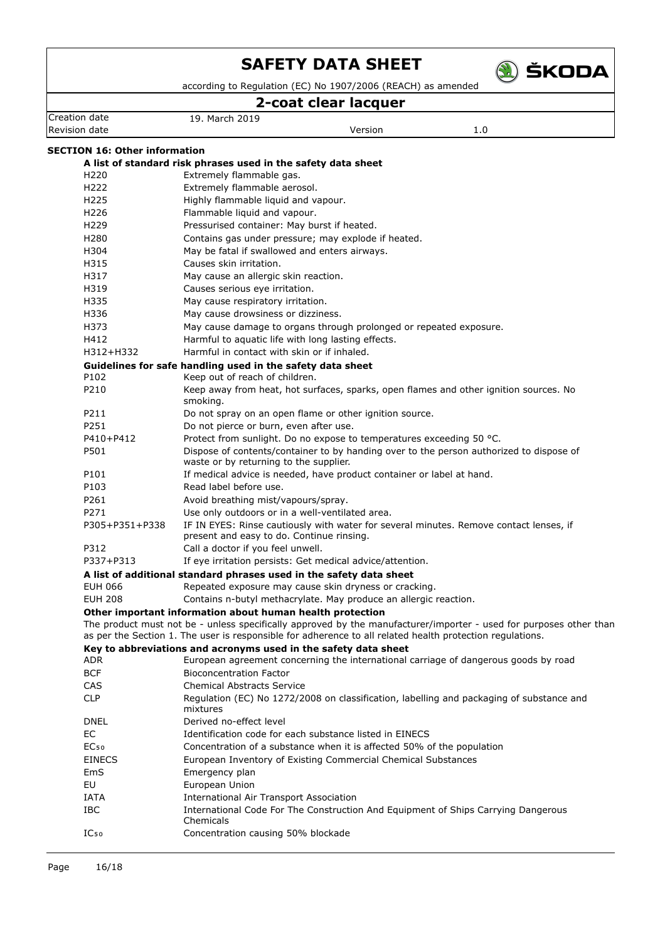

according to Regulation (EC) No 1907/2006 (REACH) as amended

### **2-coat clear lacquer**

| 2-coat clear lacquer                 |                                                                                                                                                                                                                                 |  |  |  |
|--------------------------------------|---------------------------------------------------------------------------------------------------------------------------------------------------------------------------------------------------------------------------------|--|--|--|
| Creation date                        | 19. March 2019                                                                                                                                                                                                                  |  |  |  |
| Revision date                        | Version<br>1.0                                                                                                                                                                                                                  |  |  |  |
| <b>SECTION 16: Other information</b> |                                                                                                                                                                                                                                 |  |  |  |
|                                      | A list of standard risk phrases used in the safety data sheet                                                                                                                                                                   |  |  |  |
| H <sub>220</sub>                     | Extremely flammable gas.                                                                                                                                                                                                        |  |  |  |
| H <sub>222</sub>                     | Extremely flammable aerosol.                                                                                                                                                                                                    |  |  |  |
| H <sub>225</sub>                     | Highly flammable liquid and vapour.                                                                                                                                                                                             |  |  |  |
| H226                                 | Flammable liquid and vapour.                                                                                                                                                                                                    |  |  |  |
| H <sub>229</sub>                     | Pressurised container: May burst if heated.                                                                                                                                                                                     |  |  |  |
| H <sub>280</sub>                     | Contains gas under pressure; may explode if heated.                                                                                                                                                                             |  |  |  |
| H304                                 | May be fatal if swallowed and enters airways.                                                                                                                                                                                   |  |  |  |
| H315                                 | Causes skin irritation.                                                                                                                                                                                                         |  |  |  |
| H317                                 | May cause an allergic skin reaction.                                                                                                                                                                                            |  |  |  |
| H319                                 | Causes serious eye irritation.                                                                                                                                                                                                  |  |  |  |
| H335                                 | May cause respiratory irritation.                                                                                                                                                                                               |  |  |  |
| H336                                 | May cause drowsiness or dizziness.                                                                                                                                                                                              |  |  |  |
| H373                                 | May cause damage to organs through prolonged or repeated exposure.                                                                                                                                                              |  |  |  |
| H412                                 | Harmful to aquatic life with long lasting effects.                                                                                                                                                                              |  |  |  |
| H312+H332                            | Harmful in contact with skin or if inhaled.                                                                                                                                                                                     |  |  |  |
|                                      |                                                                                                                                                                                                                                 |  |  |  |
| P102                                 | Guidelines for safe handling used in the safety data sheet<br>Keep out of reach of children.                                                                                                                                    |  |  |  |
| P210                                 | Keep away from heat, hot surfaces, sparks, open flames and other ignition sources. No                                                                                                                                           |  |  |  |
|                                      | smoking.                                                                                                                                                                                                                        |  |  |  |
| P211                                 | Do not spray on an open flame or other ignition source.                                                                                                                                                                         |  |  |  |
| P251                                 | Do not pierce or burn, even after use.                                                                                                                                                                                          |  |  |  |
| P410+P412                            | Protect from sunlight. Do no expose to temperatures exceeding 50 °C.                                                                                                                                                            |  |  |  |
| P501                                 | Dispose of contents/container to by handing over to the person authorized to dispose of                                                                                                                                         |  |  |  |
|                                      | waste or by returning to the supplier.                                                                                                                                                                                          |  |  |  |
| P101                                 | If medical advice is needed, have product container or label at hand.                                                                                                                                                           |  |  |  |
| P103                                 | Read label before use.                                                                                                                                                                                                          |  |  |  |
| P261                                 | Avoid breathing mist/vapours/spray.                                                                                                                                                                                             |  |  |  |
| P271                                 | Use only outdoors or in a well-ventilated area.                                                                                                                                                                                 |  |  |  |
| P305+P351+P338                       | IF IN EYES: Rinse cautiously with water for several minutes. Remove contact lenses, if<br>present and easy to do. Continue rinsing.                                                                                             |  |  |  |
| P312                                 | Call a doctor if you feel unwell.                                                                                                                                                                                               |  |  |  |
| P337+P313                            | If eye irritation persists: Get medical advice/attention.                                                                                                                                                                       |  |  |  |
|                                      | A list of additional standard phrases used in the safety data sheet                                                                                                                                                             |  |  |  |
| <b>EUH 066</b>                       | Repeated exposure may cause skin dryness or cracking.                                                                                                                                                                           |  |  |  |
| <b>EUH 208</b>                       | Contains n-butyl methacrylate. May produce an allergic reaction.                                                                                                                                                                |  |  |  |
|                                      | Other important information about human health protection                                                                                                                                                                       |  |  |  |
|                                      | The product must not be - unless specifically approved by the manufacturer/importer - used for purposes other than<br>as per the Section 1. The user is responsible for adherence to all related health protection regulations. |  |  |  |
|                                      | Key to abbreviations and acronyms used in the safety data sheet                                                                                                                                                                 |  |  |  |
| ADR                                  | European agreement concerning the international carriage of dangerous goods by road                                                                                                                                             |  |  |  |
| <b>BCF</b>                           | <b>Bioconcentration Factor</b>                                                                                                                                                                                                  |  |  |  |
| CAS                                  | <b>Chemical Abstracts Service</b>                                                                                                                                                                                               |  |  |  |
| <b>CLP</b>                           | Regulation (EC) No 1272/2008 on classification, labelling and packaging of substance and<br>mixtures                                                                                                                            |  |  |  |
| <b>DNEL</b>                          | Derived no-effect level                                                                                                                                                                                                         |  |  |  |
| EC                                   | Identification code for each substance listed in EINECS                                                                                                                                                                         |  |  |  |
| EC <sub>50</sub>                     | Concentration of a substance when it is affected 50% of the population                                                                                                                                                          |  |  |  |
| <b>EINECS</b>                        | European Inventory of Existing Commercial Chemical Substances                                                                                                                                                                   |  |  |  |
| EmS                                  | Emergency plan                                                                                                                                                                                                                  |  |  |  |
| EU                                   | European Union                                                                                                                                                                                                                  |  |  |  |
| IATA                                 | <b>International Air Transport Association</b>                                                                                                                                                                                  |  |  |  |
| IBC                                  | International Code For The Construction And Equipment of Ships Carrying Dangerous                                                                                                                                               |  |  |  |
|                                      | Chemicals                                                                                                                                                                                                                       |  |  |  |
| IC <sub>50</sub>                     | Concentration causing 50% blockade                                                                                                                                                                                              |  |  |  |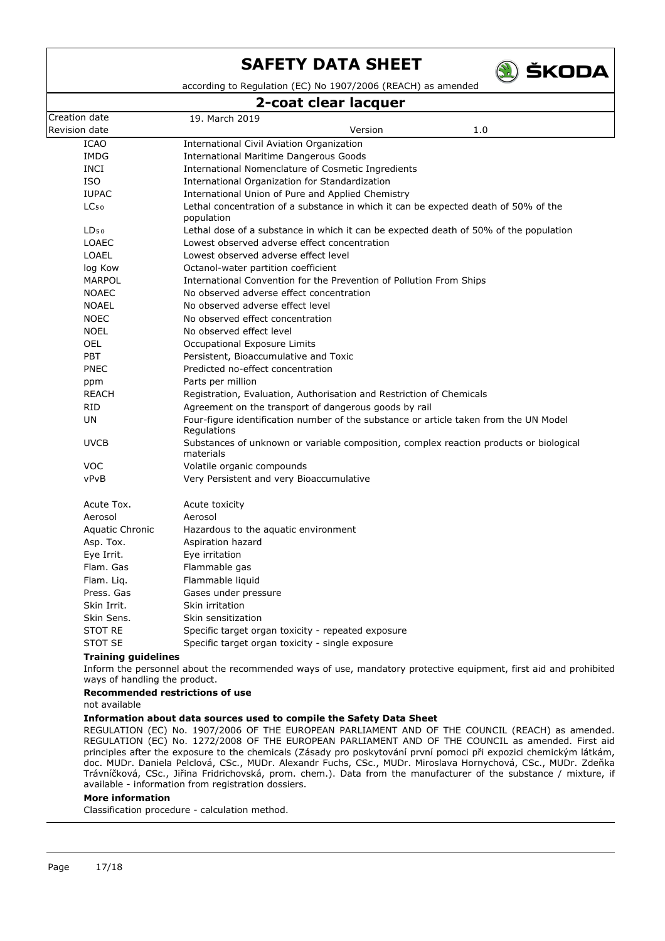

according to Regulation (EC) No 1907/2006 (REACH) as amended

### **2-coat clear lacquer**

|                  | <u>aan nan ina</u>                                                                                   |
|------------------|------------------------------------------------------------------------------------------------------|
| Creation date    | 19. March 2019                                                                                       |
| Revision date    | 1.0<br>Version                                                                                       |
| <b>ICAO</b>      | <b>International Civil Aviation Organization</b>                                                     |
| <b>IMDG</b>      | <b>International Maritime Dangerous Goods</b>                                                        |
| INCI             | International Nomenclature of Cosmetic Ingredients                                                   |
| <b>ISO</b>       | International Organization for Standardization                                                       |
| <b>IUPAC</b>     | International Union of Pure and Applied Chemistry                                                    |
| LC <sub>50</sub> | Lethal concentration of a substance in which it can be expected death of 50% of the<br>population    |
| LD <sub>50</sub> | Lethal dose of a substance in which it can be expected death of 50% of the population                |
| <b>LOAEC</b>     | Lowest observed adverse effect concentration                                                         |
| <b>LOAEL</b>     | Lowest observed adverse effect level                                                                 |
| log Kow          | Octanol-water partition coefficient                                                                  |
| <b>MARPOL</b>    | International Convention for the Prevention of Pollution From Ships                                  |
| <b>NOAEC</b>     | No observed adverse effect concentration                                                             |
| <b>NOAEL</b>     | No observed adverse effect level                                                                     |
| <b>NOEC</b>      | No observed effect concentration                                                                     |
| <b>NOEL</b>      | No observed effect level                                                                             |
| <b>OEL</b>       | Occupational Exposure Limits                                                                         |
| <b>PBT</b>       | Persistent, Bioaccumulative and Toxic                                                                |
| <b>PNEC</b>      | Predicted no-effect concentration                                                                    |
| ppm              | Parts per million                                                                                    |
| <b>REACH</b>     | Registration, Evaluation, Authorisation and Restriction of Chemicals                                 |
| <b>RID</b>       | Agreement on the transport of dangerous goods by rail                                                |
| UN               | Four-figure identification number of the substance or article taken from the UN Model<br>Regulations |
| <b>UVCB</b>      | Substances of unknown or variable composition, complex reaction products or biological<br>materials  |
| <b>VOC</b>       | Volatile organic compounds                                                                           |
| vPvB             | Very Persistent and very Bioaccumulative                                                             |
| Acute Tox.       | Acute toxicity                                                                                       |
| Aerosol          | Aerosol                                                                                              |
| Aquatic Chronic  | Hazardous to the aquatic environment                                                                 |
| Asp. Tox.        | Aspiration hazard                                                                                    |
| Eye Irrit.       | Eye irritation                                                                                       |
| Flam. Gas        | Flammable gas                                                                                        |
| Flam. Lig.       | Flammable liquid                                                                                     |
| Press, Gas       | Gases under pressure                                                                                 |
| Skin Irrit.      | Skin irritation                                                                                      |
| Skin Sens.       | Skin sensitization                                                                                   |
| <b>STOT RE</b>   | Specific target organ toxicity - repeated exposure                                                   |
| <b>STOT SE</b>   | Specific target organ toxicity - single exposure                                                     |
|                  |                                                                                                      |

### **Training guidelines**

Inform the personnel about the recommended ways of use, mandatory protective equipment, first aid and prohibited ways of handling the product.

### **Recommended restrictions of use**

not available

### **Information about data sources used to compile the Safety Data Sheet**

REGULATION (EC) No. 1907/2006 OF THE EUROPEAN PARLIAMENT AND OF THE COUNCIL (REACH) as amended. REGULATION (EC) No. 1272/2008 OF THE EUROPEAN PARLIAMENT AND OF THE COUNCIL as amended. First aid principles after the exposure to the chemicals (Zásady pro poskytování první pomoci při expozici chemickým látkám, doc. MUDr. Daniela Pelclová, CSc., MUDr. Alexandr Fuchs, CSc., MUDr. Miroslava Hornychová, CSc., MUDr. Zdeňka Trávníčková, CSc., Jiřina Fridrichovská, prom. chem.). Data from the manufacturer of the substance / mixture, if available - information from registration dossiers.

### **More information**

Classification procedure - calculation method.